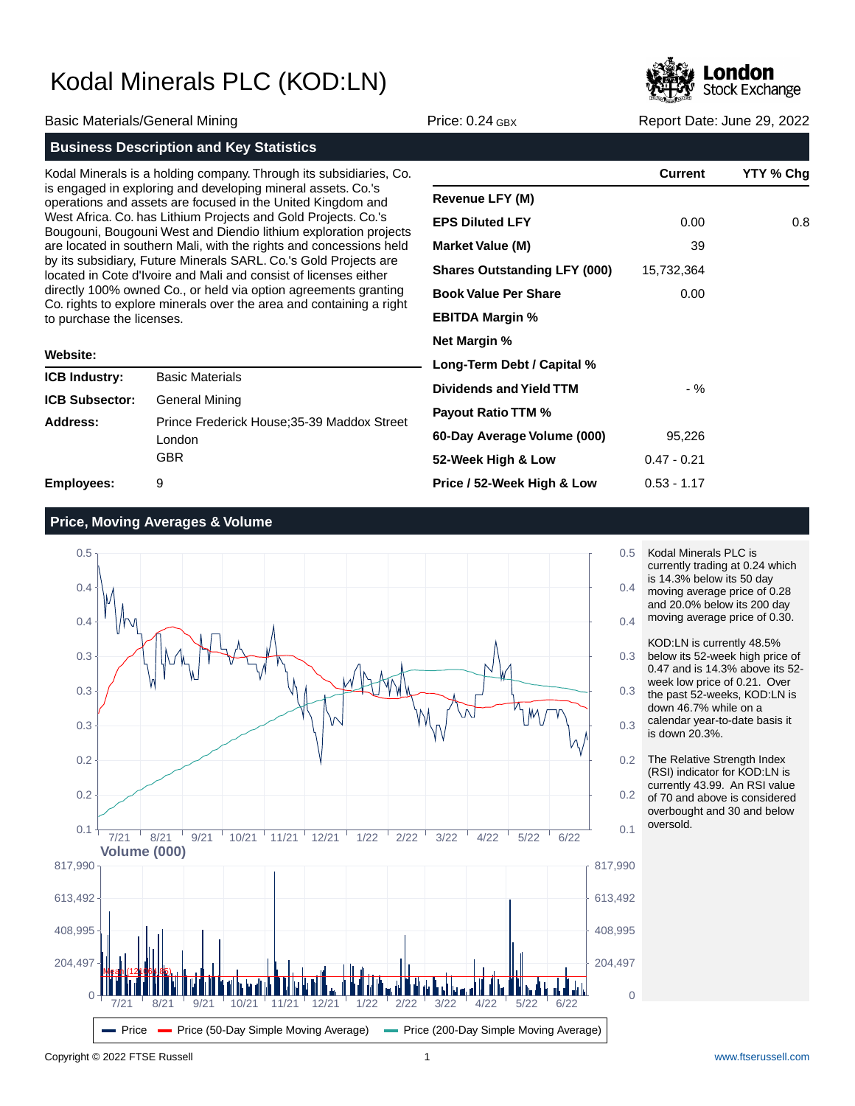

|                                                                                                                                                                                                                                                                                                                                         |                                                                                                                                      |                                     | <b>CONTRACTOR</b> |                            |
|-----------------------------------------------------------------------------------------------------------------------------------------------------------------------------------------------------------------------------------------------------------------------------------------------------------------------------------------|--------------------------------------------------------------------------------------------------------------------------------------|-------------------------------------|-------------------|----------------------------|
| Basic Materials/General Mining                                                                                                                                                                                                                                                                                                          |                                                                                                                                      | Price: $0.24$ GBX                   |                   | Report Date: June 29, 2022 |
|                                                                                                                                                                                                                                                                                                                                         | <b>Business Description and Key Statistics</b>                                                                                       |                                     |                   |                            |
|                                                                                                                                                                                                                                                                                                                                         | Kodal Minerals is a holding company. Through its subsidiaries, Co.                                                                   |                                     | <b>Current</b>    | YTY % Chg                  |
| is engaged in exploring and developing mineral assets. Co.'s<br>operations and assets are focused in the United Kingdom and<br>West Africa. Co. has Lithium Projects and Gold Projects. Co.'s<br>Bougouni, Bougouni West and Diendio lithium exploration projects<br>are located in southern Mali, with the rights and concessions held |                                                                                                                                      | Revenue LFY (M)                     |                   |                            |
|                                                                                                                                                                                                                                                                                                                                         |                                                                                                                                      | <b>EPS Diluted LFY</b>              | 0.00              | 0.8                        |
|                                                                                                                                                                                                                                                                                                                                         |                                                                                                                                      | <b>Market Value (M)</b>             | 39                |                            |
|                                                                                                                                                                                                                                                                                                                                         | by its subsidiary, Future Minerals SARL. Co.'s Gold Projects are<br>located in Cote d'Ivoire and Mali and consist of licenses either | <b>Shares Outstanding LFY (000)</b> | 15,732,364        |                            |
|                                                                                                                                                                                                                                                                                                                                         | directly 100% owned Co., or held via option agreements granting                                                                      | <b>Book Value Per Share</b>         | 0.00              |                            |
| Co. rights to explore minerals over the area and containing a right<br>to purchase the licenses.                                                                                                                                                                                                                                        |                                                                                                                                      | <b>EBITDA Margin %</b>              |                   |                            |
|                                                                                                                                                                                                                                                                                                                                         |                                                                                                                                      | <b>Net Margin %</b>                 |                   |                            |
| <b>Website:</b>                                                                                                                                                                                                                                                                                                                         |                                                                                                                                      | Long-Term Debt / Capital %          |                   |                            |
| <b>ICB Industry:</b>                                                                                                                                                                                                                                                                                                                    | <b>Basic Materials</b>                                                                                                               | <b>Dividends and Yield TTM</b>      | $-$ %             |                            |
| ICB Subsector:                                                                                                                                                                                                                                                                                                                          | General Mining                                                                                                                       |                                     |                   |                            |
| <b>Address:</b>                                                                                                                                                                                                                                                                                                                         | Prince Frederick House; 35-39 Maddox Street                                                                                          | <b>Payout Ratio TTM %</b>           |                   |                            |
|                                                                                                                                                                                                                                                                                                                                         | London                                                                                                                               | 60-Day Average Volume (000)         | 95,226            |                            |

**52-Week High & Low**

**Price / 52-Week High & Low**

**Employees:** 9

## **Price, Moving Averages & Volume**

GBR



Kodal Minerals PLC is currently trading at 0.24 which is 14.3% below its 50 day moving average price of 0.28 and 20.0% below its 200 day moving average price of 0.30.

0.47 - 0.21 0.53 - 1.17

KOD:LN is currently 48.5% below its 52-week high price of 0.47 and is 14.3% above its 52 week low price of 0.21. Over the past 52-weeks, KOD:LN is down 46.7% while on a

calendar year-to-date basis it is down 20.3%.

The Relative Strength Index (RSI) indicator for KOD:LN is currently 43.99. An RSI value of 70 and above is considered overbought and 30 and below oversold.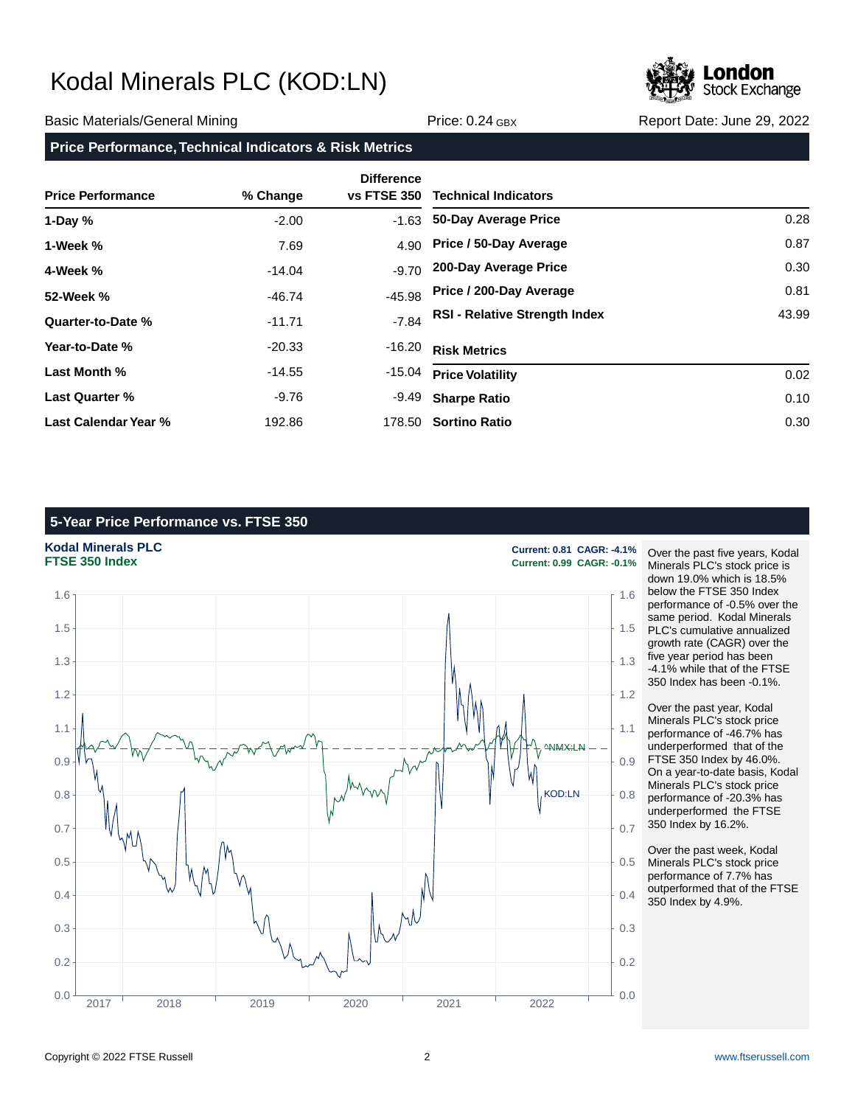

### Basic Materials/General Mining The Price: 0.24 GBX Report Date: June 29, 2022

### **Price Performance, Technical Indicators & Risk Metrics**

|                          |          | <b>Difference</b>  | <b>Technical Indicators</b>          |       |
|--------------------------|----------|--------------------|--------------------------------------|-------|
| <b>Price Performance</b> | % Change | <b>vs FTSE 350</b> |                                      |       |
| 1-Day $%$                | $-2.00$  | $-1.63$            | 50-Day Average Price                 | 0.28  |
| 1-Week %                 | 7.69     | 4.90               | Price / 50-Day Average               | 0.87  |
| 4-Week %                 | $-14.04$ | $-9.70$            | 200-Day Average Price                | 0.30  |
| 52-Week %                | $-46.74$ | $-45.98$           | Price / 200-Day Average              | 0.81  |
| Quarter-to-Date %        | $-11.71$ | $-7.84$            | <b>RSI - Relative Strength Index</b> | 43.99 |
| Year-to-Date %           | $-20.33$ | -16.20             | <b>Risk Metrics</b>                  |       |
| Last Month %             | $-14.55$ | -15.04             | <b>Price Volatility</b>              | 0.02  |
| <b>Last Quarter %</b>    | -9.76    | -9.49              | <b>Sharpe Ratio</b>                  | 0.10  |
| Last Calendar Year %     | 192.86   |                    | 178.50 Sortino Ratio                 | 0.30  |

## **5-Year Price Performance vs. FTSE 350**

**Kodal Minerals PLC Current: 0.81 CAGR: -4.1%**



**FTSE 350 Index Current: 0.99 CAGR: -0.1%**

Over the past five years, Kodal Minerals PLC's stock price is down 19.0% which is 18.5% below the FTSE 350 Index performance of -0.5% over the same period. Kodal Minerals PLC's cumulative annualized growth rate (CAGR) over the five year period has been -4.1% while that of the FTSE 350 Index has been -0.1%.

Over the past year, Kodal Minerals PLC's stock price performance of -46.7% has underperformed that of the FTSE 350 Index by 46.0%. On a year-to-date basis, Kodal Minerals PLC's stock price performance of -20.3% has underperformed the FTSE 350 Index by 16.2%.

Over the past week, Kodal Minerals PLC's stock price performance of 7.7% has outperformed that of the FTSE 350 Index by 4.9%.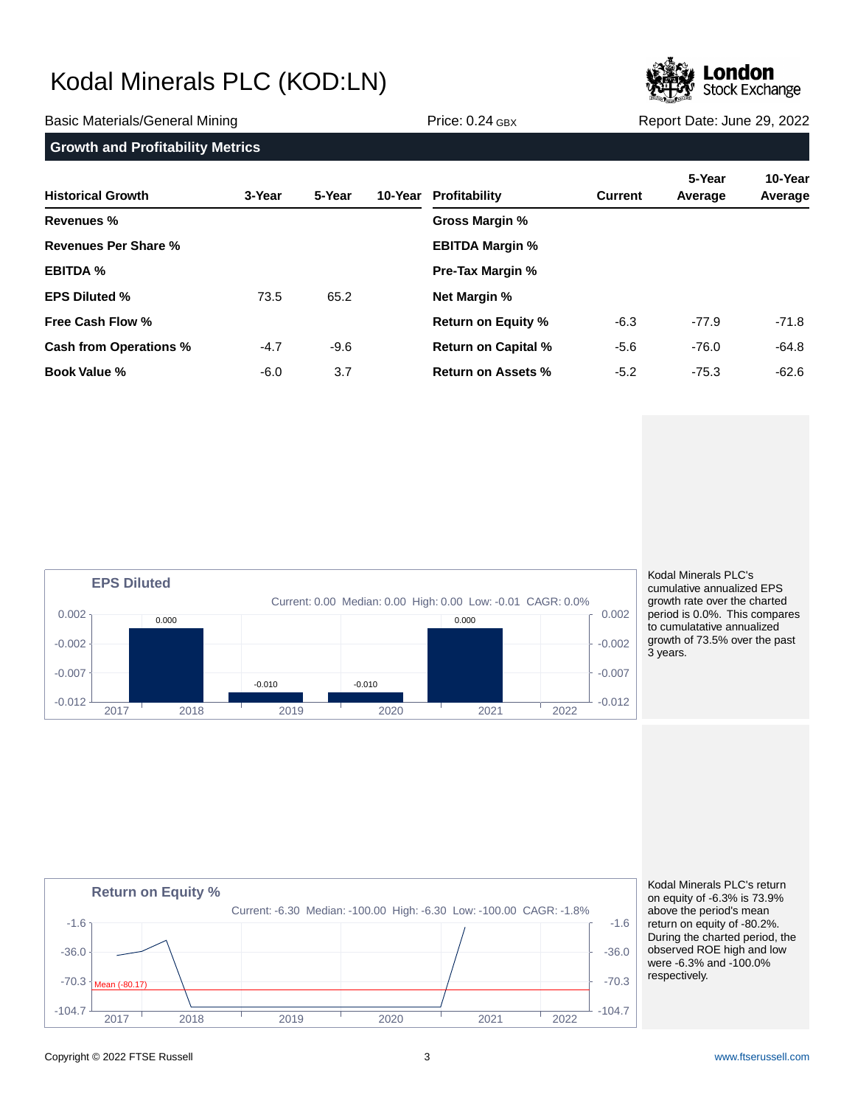

**Return on Equity %**

Copyright © 2022 FTSE Russell 3 [www.ftserussell.com](http://www.ftserussell.com)

Mean (-80.17)

| <b>Growth and Profitability Metrics</b> |        |        |  |                            |                |                   |                    |
|-----------------------------------------|--------|--------|--|----------------------------|----------------|-------------------|--------------------|
| <b>Historical Growth</b>                | 3-Year | 5-Year |  | 10-Year Profitability      | <b>Current</b> | 5-Year<br>Average | 10-Year<br>Average |
| <b>Revenues %</b>                       |        |        |  | Gross Margin %             |                |                   |                    |
| Revenues Per Share %                    |        |        |  | <b>EBITDA Margin %</b>     |                |                   |                    |
| <b>EBITDA %</b>                         |        |        |  | <b>Pre-Tax Margin %</b>    |                |                   |                    |
| <b>EPS Diluted %</b>                    | 73.5   | 65.2   |  | <b>Net Margin %</b>        |                |                   |                    |
| <b>Free Cash Flow %</b>                 |        |        |  | <b>Return on Equity %</b>  | $-6.3$         | $-77.9$           | -71.8              |
| <b>Cash from Operations %</b>           | $-4.7$ | $-9.6$ |  | <b>Return on Capital %</b> | $-5.6$         | $-76.0$           | -64.8              |
| <b>Book Value %</b>                     | $-6.0$ | 3.7    |  | <b>Return on Assets %</b>  | $-5.2$         | $-75.3$           | $-62.6$            |

### Current: 0.00 Median: 0.00 High: 0.00 Low: -0.01 CAGR: 0.0% **EPS Diluted**  $-0.012$   $-0.012$   $-0.012$   $-0.012$   $-0.012$   $-0.012$   $-0.012$   $-0.012$   $-0.012$   $-0.012$   $-0.012$   $-0.012$   $-0.012$   $-0.012$   $-0.012$   $-0.012$   $-0.012$   $-0.012$   $-0.012$   $-0.012$   $-0.012$   $-0.012$   $-0.012$   $-0.012$   $-0.0$  $-0.007$   $+$   $-0.007$   $+$   $-0.007$  $-0.002$   $+$   $-0.002$  $0.002<sub>1</sub>$  0.002 2017 2018 2019 2020 2021 2022 0.000 -0.010 -0.010 0.000

 $-104.7$   $-204.7$   $-104.7$   $-204.7$   $-104.7$   $-204.7$   $-104.7$   $-104.7$   $-104.7$   $-104.7$   $-104.7$   $-104.7$   $-104.7$   $-104.7$   $-104.7$   $-104.7$   $-104.7$   $-104.7$   $-104.7$   $-104.7$   $-104.7$   $-104.7$   $-104.7$   $-104.7$   $-104$ 

2017 2018 2019 2020 2021 2022

 $-70.3$   $\frac{1}{100}$   $\frac{1}{100}$   $-70.3$ 

 $-36.0$   $-36.0$ 

-1.6  $\sim$  -1.6  $\sim$  -1.6  $\sim$  -1.6  $\sim$  -1.6  $\sim$  -1.6  $\sim$  -1.6  $\sim$  -1.6  $\sim$  -1.6  $\sim$ 

Current: -6.30 Median: -100.00 High: -6.30 Low: -100.00 CAGR: -1.8%

Kodal Minerals PLC's cumulative annualized EPS growth rate over the charted period is 0.0%. This compares to cumulatative annualized growth of 73.5% over the past 3 years.

### Kodal Minerals PLC's return on equity of -6.3% is 73.9% above the period's mean return on equity of -80.2%. During the charted period, the observed ROE high and low were -6.3% and -100.0% respectively.

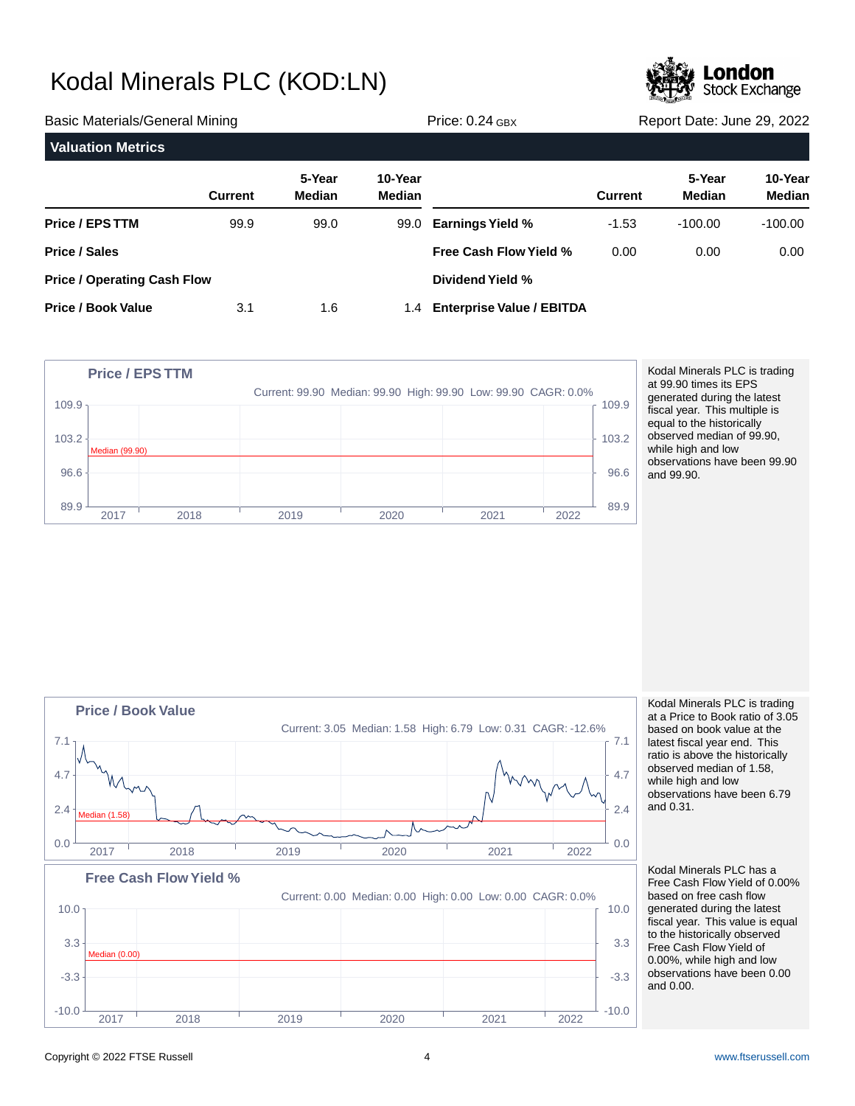

| <b>Basic Materials/General Mining</b> |                |                         | Price: $0.24$ GBX | Report Date: June 29, 2022    |                |                         |                          |
|---------------------------------------|----------------|-------------------------|-------------------|-------------------------------|----------------|-------------------------|--------------------------|
| <b>Valuation Metrics</b>              |                |                         |                   |                               |                |                         |                          |
|                                       | <b>Current</b> | 5-Year<br><b>Median</b> | 10-Year<br>Median |                               | <b>Current</b> | 5-Year<br><b>Median</b> | 10-Year<br><b>Median</b> |
| Price / EPS TTM                       | 99.9           | 99.0                    |                   | 99.0 Earnings Yield %         | $-1.53$        | $-100.00$               | $-100.00$                |
| <b>Price / Sales</b>                  |                |                         |                   | <b>Free Cash Flow Yield %</b> | 0.00           | 0.00                    | 0.00                     |
| <b>Price / Operating Cash Flow</b>    |                |                         |                   | Dividend Yield %              |                |                         |                          |
| <b>Price / Book Value</b>             | 3.1            | 1.6                     |                   | 1.4 Enterprise Value / EBITDA |                |                         |                          |



Kodal Minerals PLC is trading at 99.90 times its EPS generated during the latest fiscal year. This multiple is equal to the historically observed median of 99.90, while high and low observations have been 99.90 and 99.90.



Kodal Minerals PLC is trading at a Price to Book ratio of 3.05 based on book value at the latest fiscal year end. This ratio is above the historically observed median of 1.58, while high and low observations have been 6.79 and 0.31.

Kodal Minerals PLC has a Free Cash Flow Yield of 0.00% based on free cash flow generated during the latest fiscal year. This value is equal to the historically observed Free Cash Flow Yield of 0.00%, while high and low observations have been 0.00 and 0.00.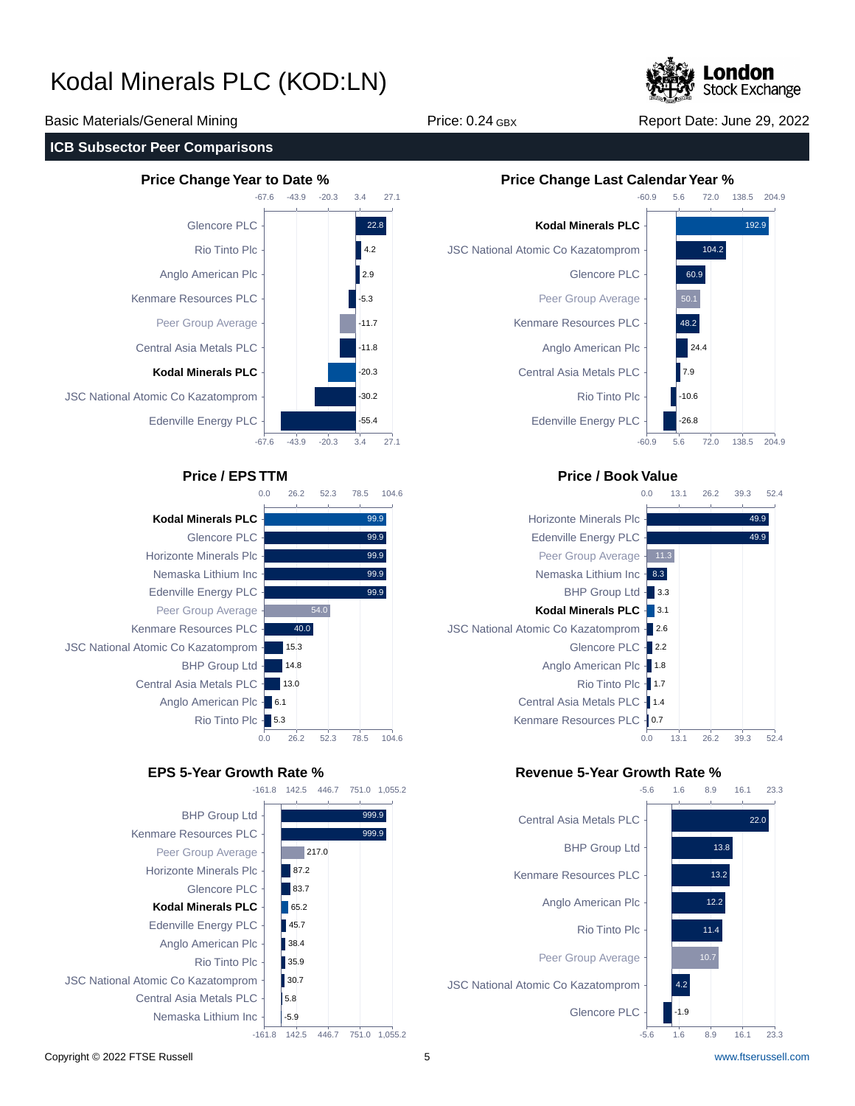

Basic Materials/General Mining The Price: 0.24 GBX Report Date: June 29, 2022

### **ICB Subsector Peer Comparisons**





-161.8 142.5 446.7 751.0 1,055.2





## **Price / EPS TTM Price / Book Value**



## **EPS 5-Year Growth Rate % Revenue 5-Year Growth Rate %**

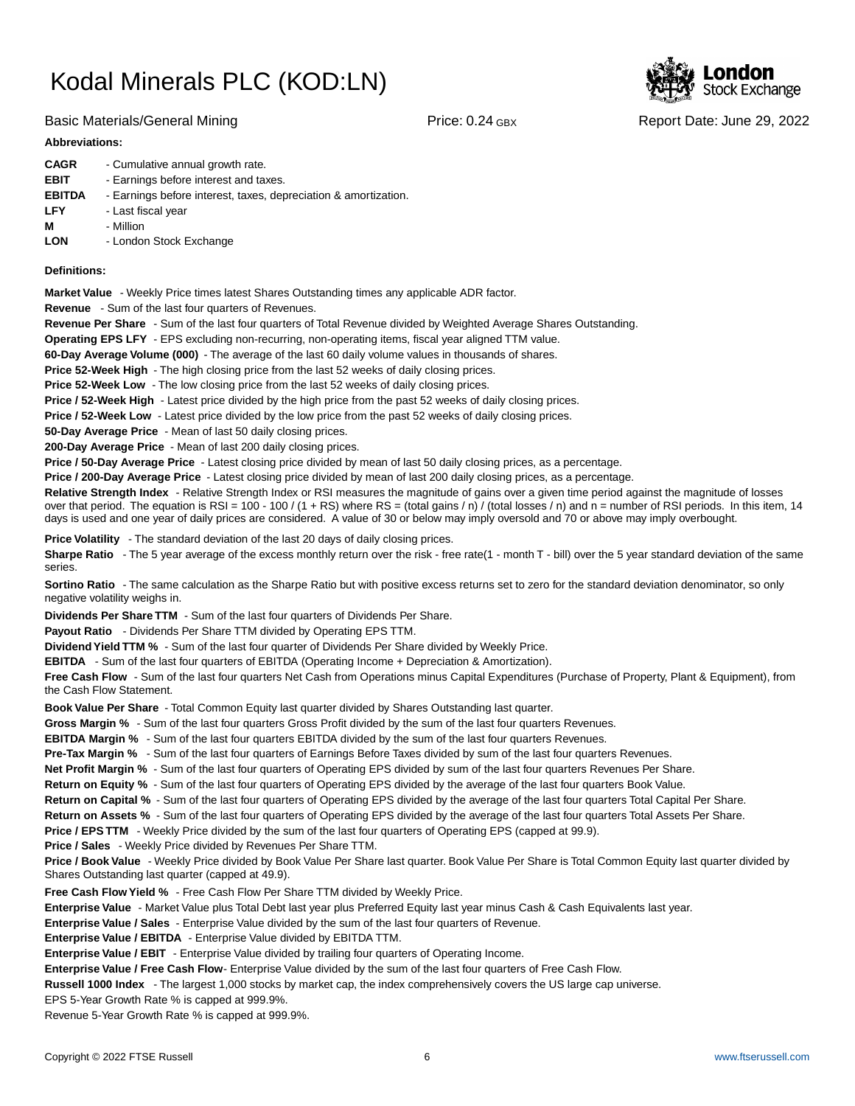

## Basic Materials/General Mining The Report Date: June 29, 2022

### **Abbreviations:**

| <b>CAGR</b>   | - Cumulative annual growth rate.                                |
|---------------|-----------------------------------------------------------------|
| <b>EBIT</b>   | - Earnings before interest and taxes.                           |
| <b>EBITDA</b> | - Earnings before interest, taxes, depreciation & amortization. |
| <b>LFY</b>    | - Last fiscal year                                              |
| М             | - Million                                                       |
| <b>LON</b>    | - London Stock Exchange                                         |
|               |                                                                 |

### **Definitions:**

**Market Value** - Weekly Price times latest Shares Outstanding times any applicable ADR factor.

**Revenue** - Sum of the last four quarters of Revenues.

**Revenue Per Share** - Sum of the last four quarters of Total Revenue divided by Weighted Average Shares Outstanding.

**Operating EPS LFY** - EPS excluding non-recurring, non-operating items, fiscal year aligned TTM value.

60-Day Average Volume (000) - The average of the last 60 daily volume values in thousands of shares.

**Price 52-Week High** - The high closing price from the last 52 weeks of daily closing prices.

**Price 52-Week Low** - The low closing price from the last 52 weeks of daily closing prices.

**Price / 52-Week High** - Latest price divided by the high price from the past 52 weeks of daily closing prices.

**Price / 52-Week Low** - Latest price divided by the low price from the past 52 weeks of daily closing prices.

**50-Day Average Price** - Mean of last 50 daily closing prices.

**200-Day Average Price** - Mean of last 200 daily closing prices.

Price / 50-Day Average Price - Latest closing price divided by mean of last 50 daily closing prices, as a percentage.

**Price / 200-Day Average Price** - Latest closing price divided by mean of last 200 daily closing prices, as a percentage.

Relative Strength Index - Relative Strength Index or RSI measures the magnitude of gains over a given time period against the magnitude of losses over that period. The equation is RSI = 100 - 100 / (1 + RS) where RS = (total gains / n) / (total losses / n) and n = number of RSI periods. In this item, 14 days is used and one year of daily prices are considered. A value of 30 or below may imply oversold and 70 or above may imply overbought.

**Price Volatility** - The standard deviation of the last 20 days of daily closing prices.

Sharpe Ratio - The 5 year average of the excess monthly return over the risk - free rate(1 - month T - bill) over the 5 year standard deviation of the same series.

**Sortino Ratio** - The same calculation as the Sharpe Ratio but with positive excess returns set to zero for the standard deviation denominator, so only negative volatility weighs in.

**Dividends Per Share TTM** - Sum of the last four quarters of Dividends Per Share.

Payout Ratio - Dividends Per Share TTM divided by Operating EPS TTM.

**Dividend Yield TTM %** - Sum of the last four quarter of Dividends Per Share divided by Weekly Price.

**EBITDA** - Sum of the last four quarters of EBITDA (Operating Income + Depreciation & Amortization).

**Free Cash Flow** - Sum of the last four quarters Net Cash from Operations minus Capital Expenditures (Purchase of Property, Plant & Equipment), from the Cash Flow Statement.

**Book Value Per Share** - Total Common Equity last quarter divided by Shares Outstanding last quarter.

**Gross Margin %** - Sum of the last four quarters Gross Profit divided by the sum of the last four quarters Revenues.

**EBITDA Margin %** - Sum of the last four quarters EBITDA divided by the sum of the last four quarters Revenues.

**Pre-Tax Margin %** - Sum of the last four quarters of Earnings Before Taxes divided by sum of the last four quarters Revenues.

**Net Profit Margin %** - Sum of the last four quarters of Operating EPS divided by sum of the last four quarters Revenues Per Share.

**Return on Equity %** - Sum of the last four quarters of Operating EPS divided by the average of the last four quarters Book Value.

**Return on Capital %** - Sum of the last four quarters of Operating EPS divided by the average of the last four quarters Total Capital Per Share.

**Return on Assets %** - Sum of the last four quarters of Operating EPS divided by the average of the last four quarters Total Assets Per Share.

**Price / EPS TTM** - Weekly Price divided by the sum of the last four quarters of Operating EPS (capped at 99.9).

**Price / Sales** - Weekly Price divided by Revenues Per Share TTM.

**Price / Book Value** - Weekly Price divided by Book Value Per Share last quarter. Book Value Per Share is Total Common Equity last quarter divided by Shares Outstanding last quarter (capped at 49.9).

**Free Cash Flow Yield %** - Free Cash Flow Per Share TTM divided by Weekly Price.

Enterprise Value - Market Value plus Total Debt last year plus Preferred Equity last year minus Cash & Cash Equivalents last year.

**Enterprise Value / Sales** - Enterprise Value divided by the sum of the last four quarters of Revenue.

**Enterprise Value / EBITDA** - Enterprise Value divided by EBITDA TTM.

**Enterprise Value / EBIT** - Enterprise Value divided by trailing four quarters of Operating Income.

Enterprise Value / Free Cash Flow- Enterprise Value divided by the sum of the last four quarters of Free Cash Flow.

**Russell 1000 Index** - The largest 1,000 stocks by market cap, the index comprehensively covers the US large cap universe.

EPS 5-Year Growth Rate % is capped at 999.9%.

Revenue 5-Year Growth Rate % is capped at 999.9%.